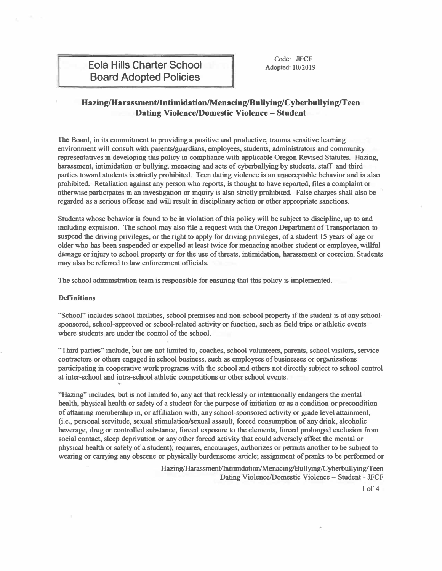## **Hazing/Harassment/Intimidation/Menacing/Bullying/Cyberbullying/Teen Dating Violence/Domestic Violence- Student**

**The Board, in its commitment to providing a positive and productive, trauma sensitive learning environment will consult with parents/guardians, employees, students, administrators and community representatives in developing this policy in compliance with applicable Oregon Revised Statutes. Hazing, harassment, intimidation or bullying, menacing and acts of cyberbullyiog by students, staff and third parties toward students is strictly prohibited. Teen dating violence is an unacceptable behavior and is also prohibited. Retaliation against any person who reports, is thought to have reported, files a complaint or otherwise participates in an investigation or inquiry is also strictly prohibited. False charges shall also be regarded as a serious offense and will result in disciplinary action or other appropriate sanctions.** 

**Students whose behavior is found to be in violation of this policy will be subject to discipline, up to and including expulsion. The school may also file a request with the Oregon Department of Transportation to suspend the driving privileges, or the right to apply for driving privileges, of a student 15 years of age or older who has been suspended or expelled at least twice for menacing another student or employee, willful damage or injury to school property or for the use of threats, intimidation, harassment or coercion. Students may also be referred to law enforcement officials.** 

**The school administration team is responsible for ensuring that this policy is implemented.** 

## **Definitions**

**"School" includes school facilities, school premises and non-school property if the student is at any schoolsponsored, school-approved or school-related activity or function, such as field trips or athletic events where students are under the control of the school.** 

**"Third parties" include, but are not limited to, coaches, school volunteers, parents, school visitors, service contractors or others engaged in school business, such as employees of businesses or organizations participating in cooperative work programs with the school and others not directly subject to school control at inter-school and intra-school athletic competitions or other school events .** 

**"Hazing" includes, but is not limited to, any act that recklessly or intentionally endangers the mental health, physical health or safety of a student for the purpose of initiation or as a condition or precondition of attaining membership in, or affiliation with, any school-sponsored activity or grade level attainment, (i.e., personal servitude, sexual stimulation/sexual assault, forced consumption of any drink, alcoholic beverage, drug or controlled substance, forced exposure to the elements, forced prolonged exclusion from social contact, sleep deprivation or any other forced activity that could adversely affect the mental or physical health or safety ofa student); requires, encourages, authorizes or permits another to be subject to wearing or carrying any obscene or physically burdensome article; assignment of pranks to be performed or** 

> Hazing/Harassment/Intimidation/Menacing/Bullying/Cyberbullying/Teen **Dating Violence/Domestic Violence - Student - JFCF**

> > **1 of 4**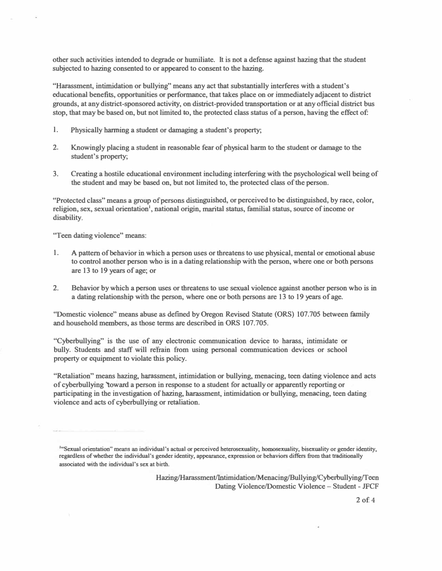**other such activities intended to degrade or humiliate. It is not a defense against hazing that the student subjected to hazing consented to or appeared to consent to the hazing.** 

**"Harassment, intimidation or bullying" means any act that substantially interferes with a student's educational benefits, opportunities or performance, that takes place on or immediately adjacent to district grounds, at any district-sponsored activity, on district-providedtransportation or at any official district bus stop, that may be based on, but not limited to, the protected class status of a person, having the effect of:** 

- **l. Physically harming a student or damaging a student's property;**
- **2. Knowingly placing a student in reasonable fear of physical harm to the student or damage to the student's property;**
- **3. Creating a hostile educational environment including interfering with the psychological well being of the student and may be based on, but not limited to, the protected class of the person.**

**"Protected class" means a group of persons distinguished, or perceived to be distinguished, by race, color, religion, sex, sexual orientation<sup>1</sup> , national origin, marital status, familial status, source of income or disability.** 

**"Teen dating violence" means:** 

- **1. A pattern of behavior in which a person uses or threatens to use physical, mental or emotional abuse to control another person who is in a dating relationship with the person, where one or both persons are 13 to 19 years of age; or**
- **2. Behavior by which a person uses or threatens to use sexual violence against another person who is in** a dating relationship with the person, where one or both persons are 13 to 19 years of age.

**"Domestic violence" means abuse as defmed by Oregon Revised Statute (ORS) 107.705 between family and household members, as those terms are described in ORS 107.705.** 

**"Cyberbullying" is the use of any electronic communication device to harass, intimidate or bully. Students and staff will refrain from using personal communication devices or school property or equipment to violate this policy.** 

**"Retaliation" means hazing, harassment, intimidation or bullying, menacing, teen dating violence and acts of cyberbullying 'toward a person in response to a student for actually or apparently reporting or participating in the investigation of hazing, harassment, intimidation or bullying, menacing, teen dating violence and acts of cyberbullying or retaliation.** 

**1 "Sexual orientation" means an individual's actual or perceived heterosexuality, homosexuality, bisexuality or gender identity, regardless of whether the individual's gender identity, appearance, expression or behaviors differs from that traditionally associated with the individual's sex at birth.** 

> **Hazing/Harassment/Intimidation/Menacing/Bullying/Cyberbullying/Teen Dating Violence/Domestic Violence - Student - JFCF**

> > **2 of 4**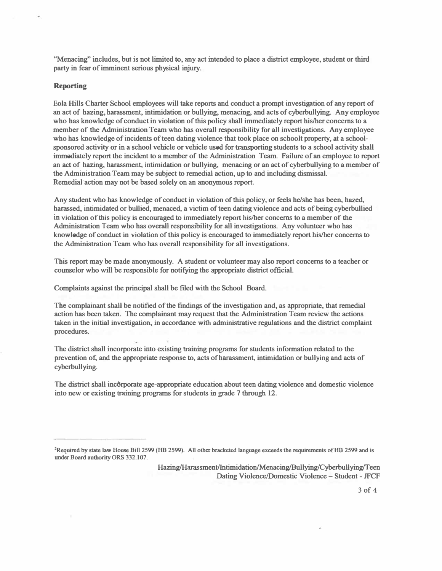**"Menacing" includes, but is not limited to, any act intended to place a district employee, student or third**  party in fear of imminent serious physical injury.

## **Reporting**

**Eola Hills Charter School employees will take reports and conduct a prompt investigation of any report of an act of hazing, harassment, intimidation or bullying, menacing, and acts of cyberbullying. Any employee who has knowledge of conduct in violation of this policy shall immediately report his/her concerns to a member of the Administration Team who has overall responsibility for all investigations. Any employee**  who has knowledge of incidents of teen dating violence that took place on schoolt property, at a school**sponsored activity or in a school vehicle or vehicle used for transporting students to a school activity shall immediately report the incident to a member of the Administration Team. Failure ofan employee to report an act of hazing, harassment, intimidation or bullying, menacing or an act of cyberbullying to a member of the Administration Team may be subject to remedial action, up to and including dismissal. Remedial·action may not be based solely on an anonymous report.** 

**Any student who has knowledge of conduct in violation of this policy, or feels he/she has been, hazed, harassed, intimidated or bullied, menaced, a victim of teen dating violence and acts of being cyberbullied in violation of this policy is encouraged to immediately report his/her concerns to a member of the Administration Team who has overall responsibility for all investigations. Any volunteer who has knowledge of conduct in violation of this policy is encouraged to immediately report his/her concerns to the Administration Team who has overall responsibility for all investigations.** 

**This report may be made anonymously. A student or volunteer may also report concerns to a teacher or counselor who will be responsible for notifying the appropriate district official.** 

**Complaints against the principal shall be filed with the School Board.** 

The complainant shall be notified of the findings of the investigation and, as appropriate, that remedial **action has been taken. The complainant may request that the Administration Team review the actions taken in the initial investigation, in accordance with administrative regulations and the district complaint procedures.** 

**The district shall incorporate into existing training programs for students information related to the prevention of, and the appropriate response to, acts of harassment, intimidation or bullying and acts of cyberbullying.** 

**The district shall incbrporate age-appropriate education about teen dating violence and domestic violence into new or existing training programs for students in grade 7 through 12.** 

**Hazing/Harassment/Intimidation/Menacing/Bullying/Cyberbullying/Teen Dating Violence/Domestic Violence - Student - JFCF** 

**<sup>2</sup>Required by state law House Bill 2599 (HB 2599). All other bracketed language exceeds the requirements ofHB 2599 and is Wlder Board authority ORS 332.107.**